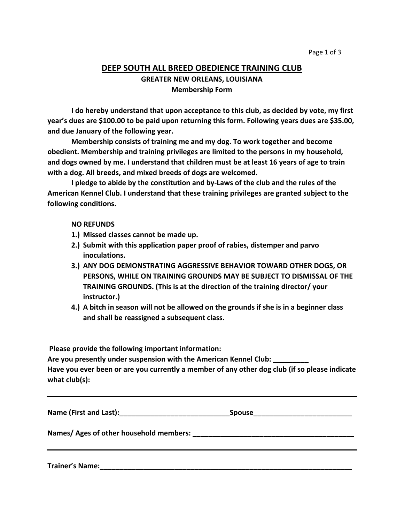## **DEEP SOUTH ALL BREED OBEDIENCE TRAINING CLUB GREATER NEW ORLEANS, LOUISIANA Membership Form**

**I do hereby understand that upon acceptance to this club, as decided by vote, my first year's dues are \$100.00 to be paid upon returning this form. Following years dues are \$35.00, and due January of the following year.**

**Membership consists of training me and my dog. To work together and become obedient. Membership and training privileges are limited to the persons in my household, and dogs owned by me. I understand that children must be at least 16 years of age to train with a dog. All breeds, and mixed breeds of dogs are welcomed.**

**I pledge to abide by the constitution and by-Laws of the club and the rules of the American Kennel Club. I understand that these training privileges are granted subject to the following conditions.**

**NO REFUNDS**

- **1.) Missed classes cannot be made up.**
- **2.) Submit with this application paper proof of rabies, distemper and parvo inoculations.**
- **3.) ANY DOG DEMONSTRATING AGGRESSIVE BEHAVIOR TOWARD OTHER DOGS, OR PERSONS, WHILE ON TRAINING GROUNDS MAY BE SUBJECT TO DISMISSAL OF THE TRAINING GROUNDS. (This is at the direction of the training director/ your instructor.)**
- **4.) A bitch in season will not be allowed on the grounds if she is in a beginner class and shall be reassigned a subsequent class.**

**Please provide the following important information:**

**Are you presently under suspension with the American Kennel Club: \_\_\_\_\_\_\_\_\_ Have you ever been or are you currently a member of any other dog club (if so please indicate** 

**what club(s):**

| Name (First and Last): | <b>Spouse</b> |  |
|------------------------|---------------|--|
|------------------------|---------------|--|

**Names/ Ages of other household members: \_\_\_\_\_\_\_\_\_\_\_\_\_\_\_\_\_\_\_\_\_\_\_\_\_\_\_\_\_\_\_\_\_\_\_\_\_\_\_\_\_**

**Trainer's Name:\_\_\_\_\_\_\_\_\_\_\_\_\_\_\_\_\_\_\_\_\_\_\_\_\_\_\_\_\_\_\_\_\_\_\_\_\_\_\_\_\_\_\_\_\_\_\_\_\_\_\_\_\_\_\_\_\_\_\_\_\_\_\_\_**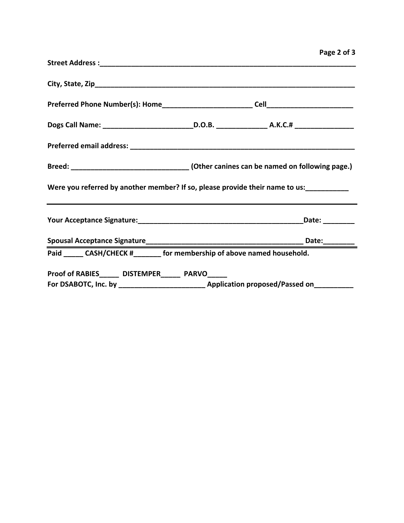|                                                                                                                                                                  |  | Page 2 of 3 |
|------------------------------------------------------------------------------------------------------------------------------------------------------------------|--|-------------|
|                                                                                                                                                                  |  |             |
|                                                                                                                                                                  |  |             |
|                                                                                                                                                                  |  |             |
|                                                                                                                                                                  |  |             |
|                                                                                                                                                                  |  |             |
| Breed: ________________________________(Other canines can be named on following page.)                                                                           |  |             |
| Were you referred by another member? If so, please provide their name to us:<br>,我们也不会有什么。""我们的人,我们也不会有什么?""我们的人,我们也不会有什么?""我们的人,我们也不会有什么?""我们的人,我们也不会有什么?""我们的人 |  |             |
|                                                                                                                                                                  |  |             |
|                                                                                                                                                                  |  |             |
| Paid ______ CASH/CHECK #________ for membership of above named household.                                                                                        |  |             |
| Proof of RABIES______ DISTEMPER______ PARVO_____                                                                                                                 |  |             |